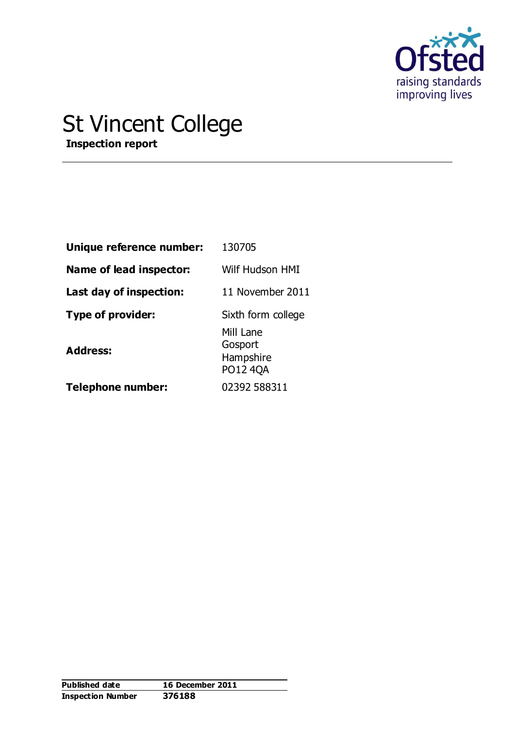

# St Vincent College

**Inspection report**

| Unique reference number: | 130705                                               |  |  |  |
|--------------------------|------------------------------------------------------|--|--|--|
| Name of lead inspector:  | Wilf Hudson HMI                                      |  |  |  |
| Last day of inspection:  | 11 November 2011                                     |  |  |  |
| Type of provider:        | Sixth form college                                   |  |  |  |
| <b>Address:</b>          | Mill Lane<br>Gosport<br>Hampshire<br><b>PO12 4QA</b> |  |  |  |
| <b>Telephone number:</b> | 02392 588311                                         |  |  |  |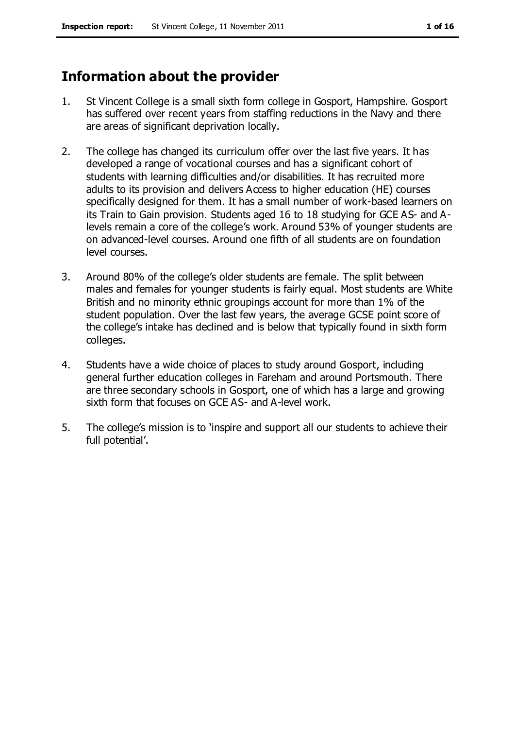# **Information about the provider**

- 1. St Vincent College is a small sixth form college in Gosport, Hampshire. Gosport has suffered over recent years from staffing reductions in the Navy and there are areas of significant deprivation locally.
- 2. The college has changed its curriculum offer over the last five years. It has developed a range of vocational courses and has a significant cohort of students with learning difficulties and/or disabilities. It has recruited more adults to its provision and delivers Access to higher education (HE) courses specifically designed for them. It has a small number of work-based learners on its Train to Gain provision. Students aged 16 to 18 studying for GCE AS- and Alevels remain a core of the college's work. Around 53% of younger students are on advanced-level courses. Around one fifth of all students are on foundation level courses.
- 3. Around 80% of the college's older students are female. The split between males and females for younger students is fairly equal. Most students are White British and no minority ethnic groupings account for more than 1% of the student population. Over the last few years, the average GCSE point score of the college's intake has declined and is below that typically found in sixth form colleges.
- 4. Students have a wide choice of places to study around Gosport, including general further education colleges in Fareham and around Portsmouth. There are three secondary schools in Gosport, one of which has a large and growing sixth form that focuses on GCE AS- and A-level work.
- 5. The college's mission is to 'inspire and support all our students to achieve their full potential'.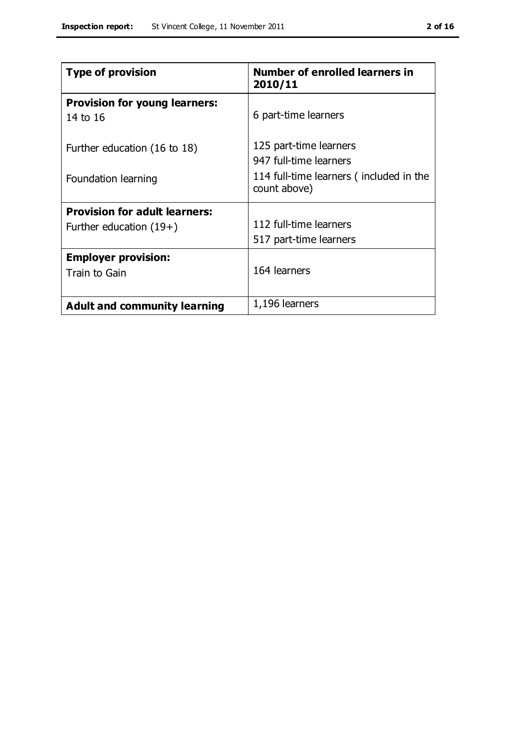| <b>Type of provision</b>                                          | <b>Number of enrolled learners in</b><br>2010/11                                                            |
|-------------------------------------------------------------------|-------------------------------------------------------------------------------------------------------------|
| <b>Provision for young learners:</b><br>14 to 16                  | 6 part-time learners                                                                                        |
| Further education (16 to 18)<br>Foundation learning               | 125 part-time learners<br>947 full-time learners<br>114 full-time learners (included in the<br>count above) |
| <b>Provision for adult learners:</b><br>Further education $(19+)$ | 112 full-time learners<br>517 part-time learners                                                            |
| <b>Employer provision:</b><br>Train to Gain                       | 164 learners                                                                                                |
| <b>Adult and community learning</b>                               | 1,196 learners                                                                                              |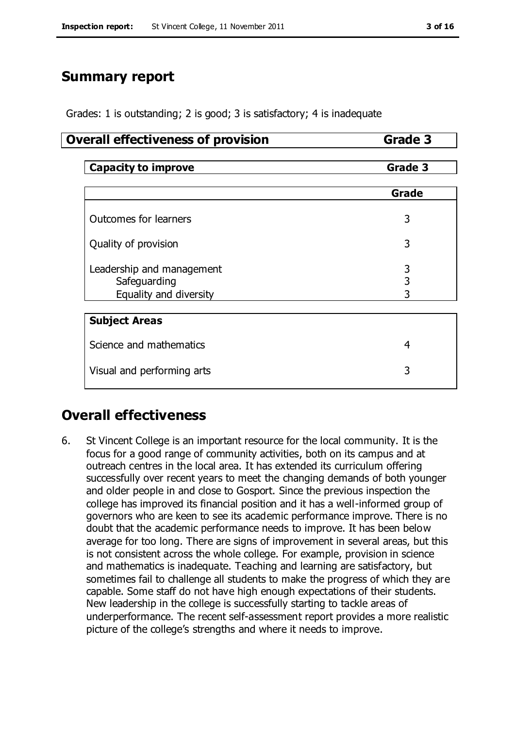# **Summary report**

Grades: 1 is outstanding; 2 is good; 3 is satisfactory; 4 is inadequate

#### **Overall effectiveness of provision <b>Grade 3**

| <b>Capacity to improve</b>   | Grade 3 |  |  |  |
|------------------------------|---------|--|--|--|
|                              |         |  |  |  |
|                              | Grade   |  |  |  |
|                              |         |  |  |  |
| <b>Outcomes for learners</b> | 3       |  |  |  |
|                              |         |  |  |  |
| Quality of provision         | 3       |  |  |  |
|                              |         |  |  |  |
| Leadership and management    | 3       |  |  |  |
| Safeguarding                 | 3       |  |  |  |
| Equality and diversity       | 3       |  |  |  |
|                              |         |  |  |  |
| <b>Subject Areas</b>         |         |  |  |  |
| Science and mathematics      | 4       |  |  |  |
|                              |         |  |  |  |
| Visual and performing arts   | 3       |  |  |  |

# **Overall effectiveness**

6. St Vincent College is an important resource for the local community. It is the focus for a good range of community activities, both on its campus and at outreach centres in the local area. It has extended its curriculum offering successfully over recent years to meet the changing demands of both younger and older people in and close to Gosport. Since the previous inspection the college has improved its financial position and it has a well-informed group of governors who are keen to see its academic performance improve. There is no doubt that the academic performance needs to improve. It has been below average for too long. There are signs of improvement in several areas, but this is not consistent across the whole college. For example, provision in science and mathematics is inadequate. Teaching and learning are satisfactory, but sometimes fail to challenge all students to make the progress of which they are capable. Some staff do not have high enough expectations of their students. New leadership in the college is successfully starting to tackle areas of underperformance. The recent self-assessment report provides a more realistic picture of the college's strengths and where it needs to improve.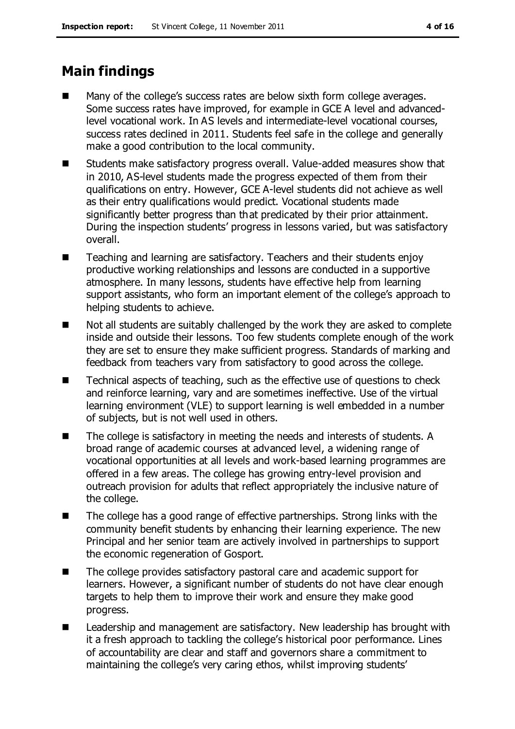# **Main findings**

- Many of the college's success rates are below sixth form college averages. Some success rates have improved, for example in GCE A level and advancedlevel vocational work. In AS levels and intermediate-level vocational courses, success rates declined in 2011. Students feel safe in the college and generally make a good contribution to the local community.
- **EXTERGHTM** Students make satisfactory progress overall. Value-added measures show that in 2010, AS-level students made the progress expected of them from their qualifications on entry. However, GCE A-level students did not achieve as well as their entry qualifications would predict. Vocational students made significantly better progress than that predicated by their prior attainment. During the inspection students' progress in lessons varied, but was satisfactory overall.
- Teaching and learning are satisfactory. Teachers and their students enjoy productive working relationships and lessons are conducted in a supportive atmosphere. In many lessons, students have effective help from learning support assistants, who form an important element of the college's approach to helping students to achieve.
- $\blacksquare$  Not all students are suitably challenged by the work they are asked to complete inside and outside their lessons. Too few students complete enough of the work they are set to ensure they make sufficient progress. Standards of marking and feedback from teachers vary from satisfactory to good across the college.
- Technical aspects of teaching, such as the effective use of questions to check and reinforce learning, vary and are sometimes ineffective. Use of the virtual learning environment (VLE) to support learning is well embedded in a number of subjects, but is not well used in others.
- The college is satisfactory in meeting the needs and interests of students. A broad range of academic courses at advanced level, a widening range of vocational opportunities at all levels and work-based learning programmes are offered in a few areas. The college has growing entry-level provision and outreach provision for adults that reflect appropriately the inclusive nature of the college.
- The college has a good range of effective partnerships. Strong links with the community benefit students by enhancing their learning experience. The new Principal and her senior team are actively involved in partnerships to support the economic regeneration of Gosport.
- The college provides satisfactory pastoral care and academic support for learners. However, a significant number of students do not have clear enough targets to help them to improve their work and ensure they make good progress.
- Leadership and management are satisfactory. New leadership has brought with it a fresh approach to tackling the college's historical poor performance. Lines of accountability are clear and staff and governors share a commitment to maintaining the college's very caring ethos, whilst improving students'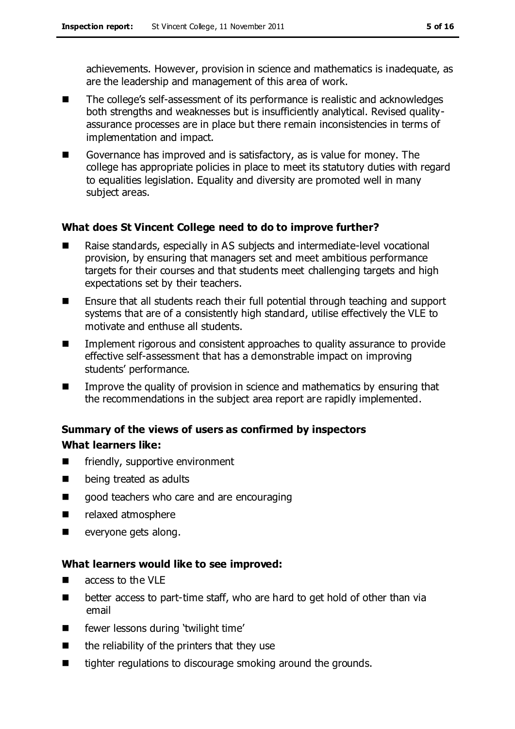achievements. However, provision in science and mathematics is inadequate, as are the leadership and management of this area of work.

- The college's self-assessment of its performance is realistic and acknowledges both strengths and weaknesses but is insufficiently analytical. Revised qualityassurance processes are in place but there remain inconsistencies in terms of implementation and impact.
- Governance has improved and is satisfactory, as is value for money. The college has appropriate policies in place to meet its statutory duties with regard to equalities legislation. Equality and diversity are promoted well in many subject areas.

#### **What does St Vincent College need to do to improve further?**

- Raise standards, especially in AS subjects and intermediate-level vocational provision, by ensuring that managers set and meet ambitious performance targets for their courses and that students meet challenging targets and high expectations set by their teachers.
- Ensure that all students reach their full potential through teaching and support systems that are of a consistently high standard, utilise effectively the VLE to motivate and enthuse all students.
- **IMPLEMENTER Implement rigorous and consistent approaches to quality assurance to provide** effective self-assessment that has a demonstrable impact on improving students' performance.
- **IMPROVE THE GUALARY IS CONSTERNATION** In science and mathematics by ensuring that the recommendations in the subject area report are rapidly implemented.

### **Summary of the views of users as confirmed by inspectors What learners like:**

- **EXECUTE:** friendly, supportive environment
- **Delacy being treated as adults**
- good teachers who care and are encouraging
- **P** relaxed atmosphere
- **exeryone gets along.**

#### **What learners would like to see improved:**

- access to the VLE
- better access to part-time staff, who are hard to get hold of other than via email
- **EXECUTE:** fewer lessons during 'twilight time'
- $\blacksquare$  the reliability of the printers that they use
- tighter regulations to discourage smoking around the grounds.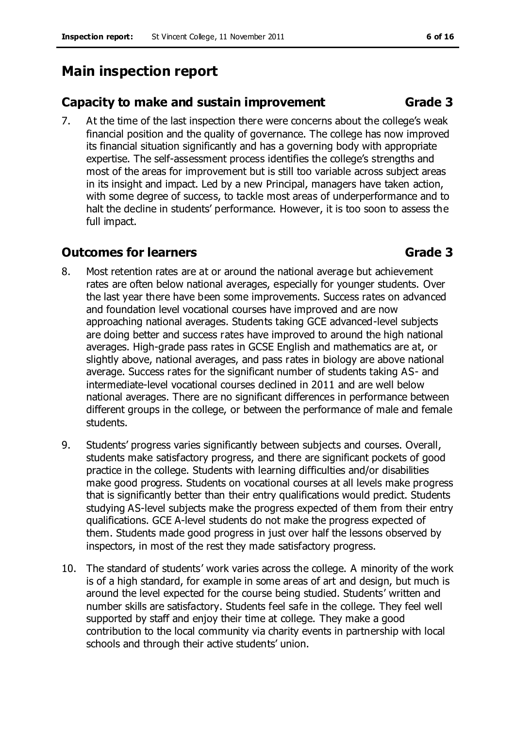# **Main inspection report**

### **Capacity to make and sustain improvement Grade 3**

7. At the time of the last inspection there were concerns about the college's weak financial position and the quality of governance. The college has now improved its financial situation significantly and has a governing body with appropriate expertise. The self-assessment process identifies the college's strengths and most of the areas for improvement but is still too variable across subject areas in its insight and impact. Led by a new Principal, managers have taken action, with some degree of success, to tackle most areas of underperformance and to halt the decline in students' performance. However, it is too soon to assess the full impact.

### **Outcomes for learners Grade 3**

- 8. Most retention rates are at or around the national average but achievement rates are often below national averages, especially for younger students. Over the last year there have been some improvements. Success rates on advanced and foundation level vocational courses have improved and are now approaching national averages. Students taking GCE advanced-level subjects are doing better and success rates have improved to around the high national averages. High-grade pass rates in GCSE English and mathematics are at, or slightly above, national averages, and pass rates in biology are above national average. Success rates for the significant number of students taking AS- and intermediate-level vocational courses declined in 2011 and are well below national averages. There are no significant differences in performance between different groups in the college, or between the performance of male and female students.
- 9. Students' progress varies significantly between subjects and courses. Overall, students make satisfactory progress, and there are significant pockets of good practice in the college. Students with learning difficulties and/or disabilities make good progress. Students on vocational courses at all levels make progress that is significantly better than their entry qualifications would predict. Students studying AS-level subjects make the progress expected of them from their entry qualifications. GCE A-level students do not make the progress expected of them. Students made good progress in just over half the lessons observed by inspectors, in most of the rest they made satisfactory progress.
- 10. The standard of students' work varies across the college. A minority of the work is of a high standard, for example in some areas of art and design, but much is around the level expected for the course being studied. Students' written and number skills are satisfactory. Students feel safe in the college. They feel well supported by staff and enjoy their time at college. They make a good contribution to the local community via charity events in partnership with local schools and through their active students' union.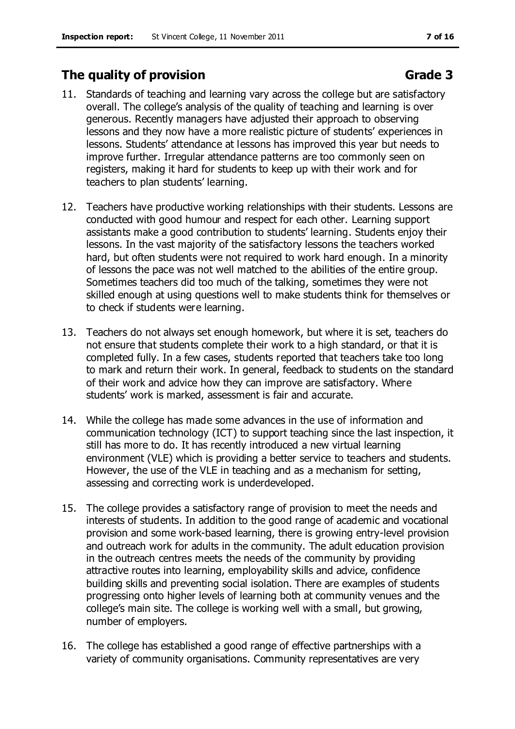### **The quality of provision Grade 3**

- 11. Standards of teaching and learning vary across the college but are satisfactory overall. The college's analysis of the quality of teaching and learning is over generous. Recently managers have adjusted their approach to observing lessons and they now have a more realistic picture of students' experiences in lessons. Students' attendance at lessons has improved this year but needs to improve further. Irregular attendance patterns are too commonly seen on registers, making it hard for students to keep up with their work and for teachers to plan students' learning.
- 12. Teachers have productive working relationships with their students. Lessons are conducted with good humour and respect for each other. Learning support assistants make a good contribution to students' learning. Students enjoy their lessons. In the vast majority of the satisfactory lessons the teachers worked hard, but often students were not required to work hard enough. In a minority of lessons the pace was not well matched to the abilities of the entire group. Sometimes teachers did too much of the talking, sometimes they were not skilled enough at using questions well to make students think for themselves or to check if students were learning.
- 13. Teachers do not always set enough homework, but where it is set, teachers do not ensure that students complete their work to a high standard, or that it is completed fully. In a few cases, students reported that teachers take too long to mark and return their work. In general, feedback to students on the standard of their work and advice how they can improve are satisfactory. Where students' work is marked, assessment is fair and accurate.
- 14. While the college has made some advances in the use of information and communication technology (ICT) to support teaching since the last inspection, it still has more to do. It has recently introduced a new virtual learning environment (VLE) which is providing a better service to teachers and students. However, the use of the VLE in teaching and as a mechanism for setting, assessing and correcting work is underdeveloped.
- 15. The college provides a satisfactory range of provision to meet the needs and interests of students. In addition to the good range of academic and vocational provision and some work-based learning, there is growing entry-level provision and outreach work for adults in the community. The adult education provision in the outreach centres meets the needs of the community by providing attractive routes into learning, employability skills and advice, confidence building skills and preventing social isolation. There are examples of students progressing onto higher levels of learning both at community venues and the college's main site. The college is working well with a small, but growing, number of employers.
- 16. The college has established a good range of effective partnerships with a variety of community organisations. Community representatives are very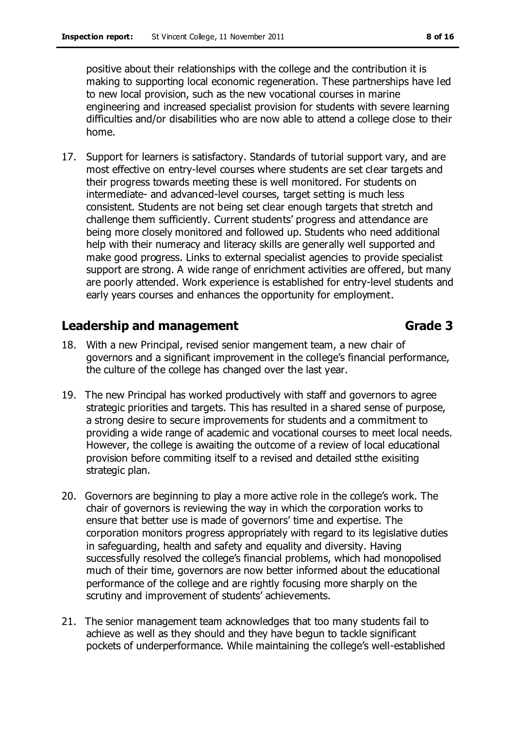positive about their relationships with the college and the contribution it is making to supporting local economic regeneration. These partnerships have led to new local provision, such as the new vocational courses in marine engineering and increased specialist provision for students with severe learning difficulties and/or disabilities who are now able to attend a college close to their home.

17. Support for learners is satisfactory. Standards of tutorial support vary, and are most effective on entry-level courses where students are set clear targets and their progress towards meeting these is well monitored. For students on intermediate- and advanced-level courses, target setting is much less consistent. Students are not being set clear enough targets that stretch and challenge them sufficiently. Current students' progress and attendance are being more closely monitored and followed up. Students who need additional help with their numeracy and literacy skills are generally well supported and make good progress. Links to external specialist agencies to provide specialist support are strong. A wide range of enrichment activities are offered, but many are poorly attended. Work experience is established for entry-level students and early years courses and enhances the opportunity for employment.

### **Leadership and management Grade 3**

- 18. With a new Principal, revised senior mangement team, a new chair of governors and a significant improvement in the college's financial performance, the culture of the college has changed over the last year.
- 19. The new Principal has worked productively with staff and governors to agree strategic priorities and targets. This has resulted in a shared sense of purpose, a strong desire to secure improvements for students and a commitment to providing a wide range of academic and vocational courses to meet local needs. However, the college is awaiting the outcome of a review of local educational provision before commiting itself to a revised and detailed stthe exisiting strategic plan.
- 20. Governors are beginning to play a more active role in the college's work. The chair of governors is reviewing the way in which the corporation works to ensure that better use is made of governors' time and expertise. The corporation monitors progress appropriately with regard to its legislative duties in safeguarding, health and safety and equality and diversity. Having successfully resolved the college's financial problems, which had monopolised much of their time, governors are now better informed about the educational performance of the college and are rightly focusing more sharply on the scrutiny and improvement of students' achievements.
- 21. The senior management team acknowledges that too many students fail to achieve as well as they should and they have begun to tackle significant pockets of underperformance. While maintaining the college's well-established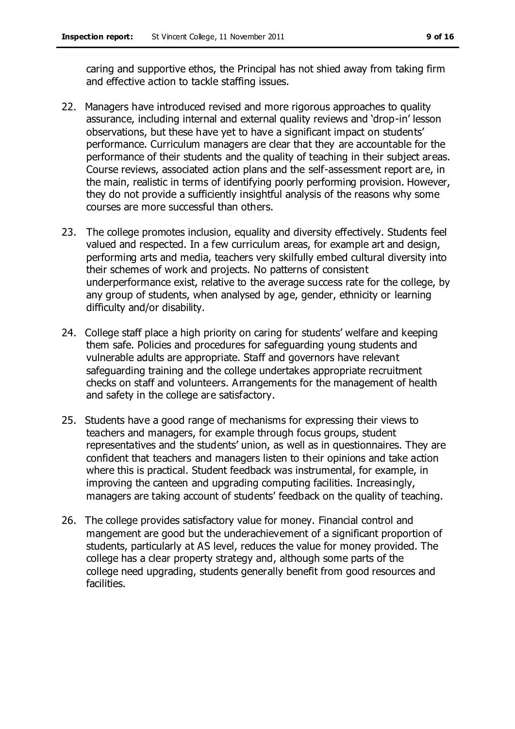caring and supportive ethos, the Principal has not shied away from taking firm and effective action to tackle staffing issues.

- 22. Managers have introduced revised and more rigorous approaches to quality assurance, including internal and external quality reviews and 'drop-in' lesson observations, but these have yet to have a significant impact on students' performance. Curriculum managers are clear that they are accountable for the performance of their students and the quality of teaching in their subject areas. Course reviews, associated action plans and the self-assessment report are, in the main, realistic in terms of identifying poorly performing provision. However, they do not provide a sufficiently insightful analysis of the reasons why some courses are more successful than others.
- 23. The college promotes inclusion, equality and diversity effectively. Students feel valued and respected. In a few curriculum areas, for example art and design, performing arts and media, teachers very skilfully embed cultural diversity into their schemes of work and projects. No patterns of consistent underperformance exist, relative to the average success rate for the college, by any group of students, when analysed by age, gender, ethnicity or learning difficulty and/or disability.
- 24. College staff place a high priority on caring for students' welfare and keeping them safe. Policies and procedures for safeguarding young students and vulnerable adults are appropriate. Staff and governors have relevant safeguarding training and the college undertakes appropriate recruitment checks on staff and volunteers. Arrangements for the management of health and safety in the college are satisfactory.
- 25. Students have a good range of mechanisms for expressing their views to teachers and managers, for example through focus groups, student representatives and the students' union, as well as in questionnaires. They are confident that teachers and managers listen to their opinions and take action where this is practical. Student feedback was instrumental, for example, in improving the canteen and upgrading computing facilities. Increasingly, managers are taking account of students' feedback on the quality of teaching.
- 26. The college provides satisfactory value for money. Financial control and mangement are good but the underachievement of a significant proportion of students, particularly at AS level, reduces the value for money provided. The college has a clear property strategy and, although some parts of the college need upgrading, students generally benefit from good resources and facilities.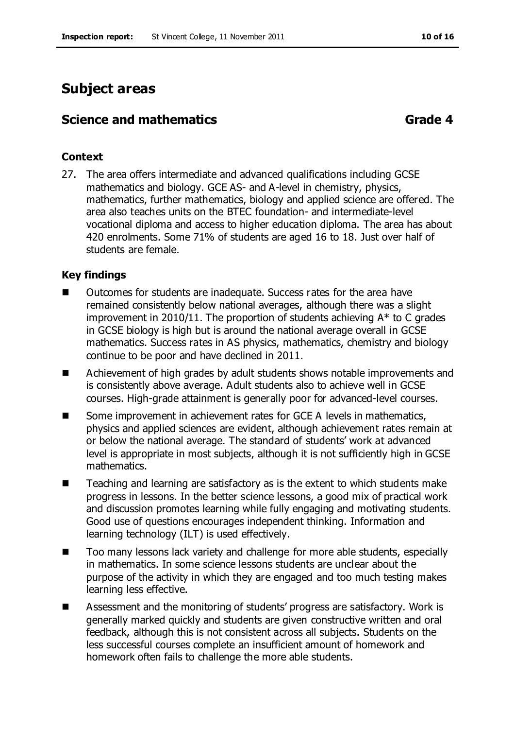# **Subject areas**

### **Science and mathematics <b>Grade 4**

#### **Context**

27. The area offers intermediate and advanced qualifications including GCSE mathematics and biology. GCE AS- and A-level in chemistry, physics, mathematics, further mathematics, biology and applied science are offered. The area also teaches units on the BTEC foundation- and intermediate-level vocational diploma and access to higher education diploma. The area has about 420 enrolments. Some 71% of students are aged 16 to 18. Just over half of students are female.

#### **Key findings**

- Outcomes for students are inadequate. Success rates for the area have remained consistently below national averages, although there was a slight improvement in 2010/11. The proportion of students achieving A\* to C grades in GCSE biology is high but is around the national average overall in GCSE mathematics. Success rates in AS physics, mathematics, chemistry and biology continue to be poor and have declined in 2011.
- Achievement of high grades by adult students shows notable improvements and is consistently above average. Adult students also to achieve well in GCSE courses. High-grade attainment is generally poor for advanced-level courses.
- Some improvement in achievement rates for GCE A levels in mathematics, physics and applied sciences are evident, although achievement rates remain at or below the national average. The standard of students' work at advanced level is appropriate in most subjects, although it is not sufficiently high in GCSE mathematics.
- Teaching and learning are satisfactory as is the extent to which students make progress in lessons. In the better science lessons, a good mix of practical work and discussion promotes learning while fully engaging and motivating students. Good use of questions encourages independent thinking. Information and learning technology (ILT) is used effectively.
- Too many lessons lack variety and challenge for more able students, especially in mathematics. In some science lessons students are unclear about the purpose of the activity in which they are engaged and too much testing makes learning less effective.
- Assessment and the monitoring of students' progress are satisfactory. Work is generally marked quickly and students are given constructive written and oral feedback, although this is not consistent across all subjects. Students on the less successful courses complete an insufficient amount of homework and homework often fails to challenge the more able students.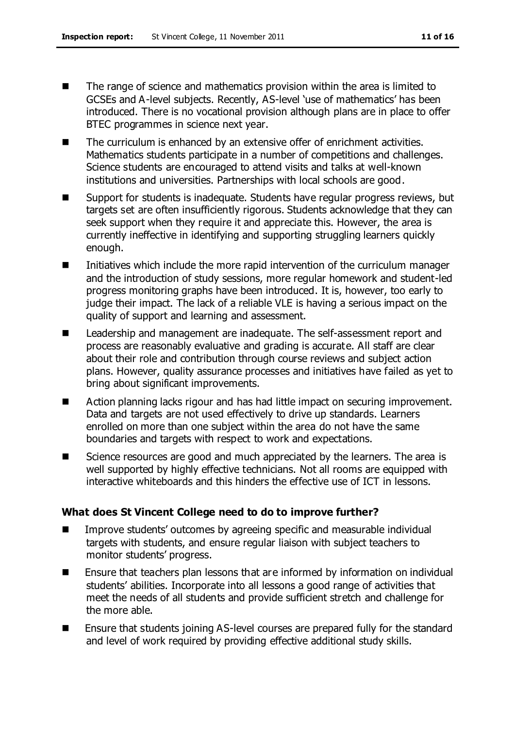- The range of science and mathematics provision within the area is limited to GCSEs and A-level subjects. Recently, AS-level 'use of mathematics' has been introduced. There is no vocational provision although plans are in place to offer BTEC programmes in science next year.
- The curriculum is enhanced by an extensive offer of enrichment activities. Mathematics students participate in a number of competitions and challenges. Science students are encouraged to attend visits and talks at well-known institutions and universities. Partnerships with local schools are good.
- Support for students is inadequate. Students have regular progress reviews, but targets set are often insufficiently rigorous. Students acknowledge that they can seek support when they require it and appreciate this. However, the area is currently ineffective in identifying and supporting struggling learners quickly enough.
- Initiatives which include the more rapid intervention of the curriculum manager and the introduction of study sessions, more regular homework and student-led progress monitoring graphs have been introduced. It is, however, too early to judge their impact. The lack of a reliable VLE is having a serious impact on the quality of support and learning and assessment.
- Leadership and management are inadequate. The self-assessment report and process are reasonably evaluative and grading is accurate. All staff are clear about their role and contribution through course reviews and subject action plans. However, quality assurance processes and initiatives have failed as yet to bring about significant improvements.
- Action planning lacks rigour and has had little impact on securing improvement. Data and targets are not used effectively to drive up standards. Learners enrolled on more than one subject within the area do not have the same boundaries and targets with respect to work and expectations.
- Science resources are good and much appreciated by the learners. The area is well supported by highly effective technicians. Not all rooms are equipped with interactive whiteboards and this hinders the effective use of ICT in lessons.

#### **What does St Vincent College need to do to improve further?**

- Improve students' outcomes by agreeing specific and measurable individual targets with students, and ensure regular liaison with subject teachers to monitor students' progress.
- Ensure that teachers plan lessons that are informed by information on individual students' abilities. Incorporate into all lessons a good range of activities that meet the needs of all students and provide sufficient stretch and challenge for the more able.
- Ensure that students joining AS-level courses are prepared fully for the standard and level of work required by providing effective additional study skills.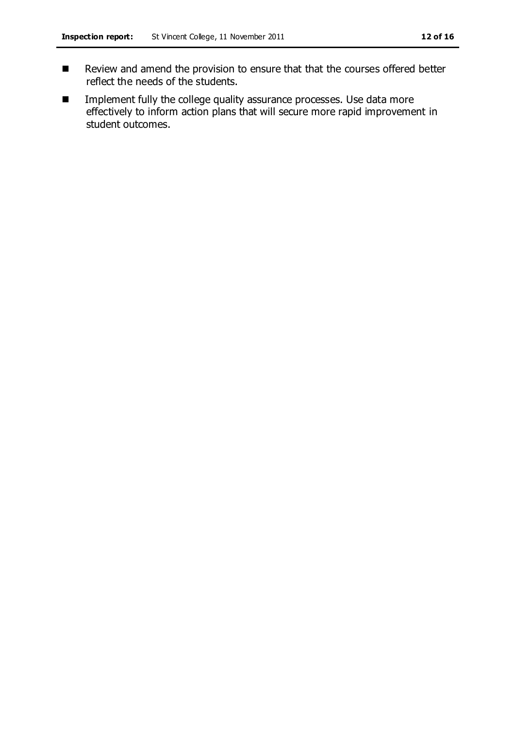- Review and amend the provision to ensure that that the courses offered better reflect the needs of the students.
- **IMPLEMENT IMPLEMENT IN THE COLLEGE CONCERNATION** assurance processes. Use data more effectively to inform action plans that will secure more rapid improvement in student outcomes.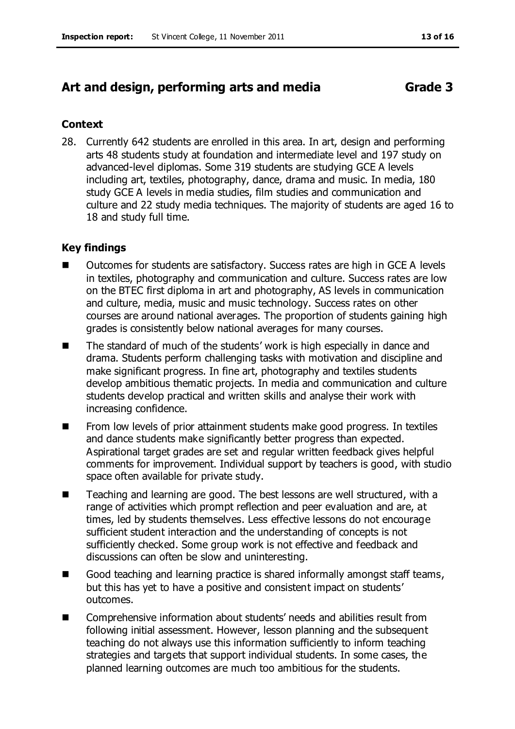# **Art and design, performing arts and media Grade 3**

#### **Context**

28. Currently 642 students are enrolled in this area. In art, design and performing arts 48 students study at foundation and intermediate level and 197 study on advanced-level diplomas. Some 319 students are studying GCE A levels including art, textiles, photography, dance, drama and music. In media, 180 study GCE A levels in media studies, film studies and communication and culture and 22 study media techniques. The majority of students are aged 16 to 18 and study full time.

#### **Key findings**

- Outcomes for students are satisfactory. Success rates are high in GCE A levels in textiles, photography and communication and culture. Success rates are low on the BTEC first diploma in art and photography, AS levels in communication and culture, media, music and music technology. Success rates on other courses are around national averages. The proportion of students gaining high grades is consistently below national averages for many courses.
- The standard of much of the students' work is high especially in dance and drama. Students perform challenging tasks with motivation and discipline and make significant progress. In fine art, photography and textiles students develop ambitious thematic projects. In media and communication and culture students develop practical and written skills and analyse their work with increasing confidence.
- From low levels of prior attainment students make good progress. In textiles and dance students make significantly better progress than expected. Aspirational target grades are set and regular written feedback gives helpful comments for improvement. Individual support by teachers is good, with studio space often available for private study.
- Teaching and learning are good. The best lessons are well structured, with a range of activities which prompt reflection and peer evaluation and are, at times, led by students themselves. Less effective lessons do not encourage sufficient student interaction and the understanding of concepts is not sufficiently checked. Some group work is not effective and feedback and discussions can often be slow and uninteresting.
- Good teaching and learning practice is shared informally amongst staff teams, but this has yet to have a positive and consistent impact on students' outcomes.
- Comprehensive information about students' needs and abilities result from following initial assessment. However, lesson planning and the subsequent teaching do not always use this information sufficiently to inform teaching strategies and targets that support individual students. In some cases, the planned learning outcomes are much too ambitious for the students.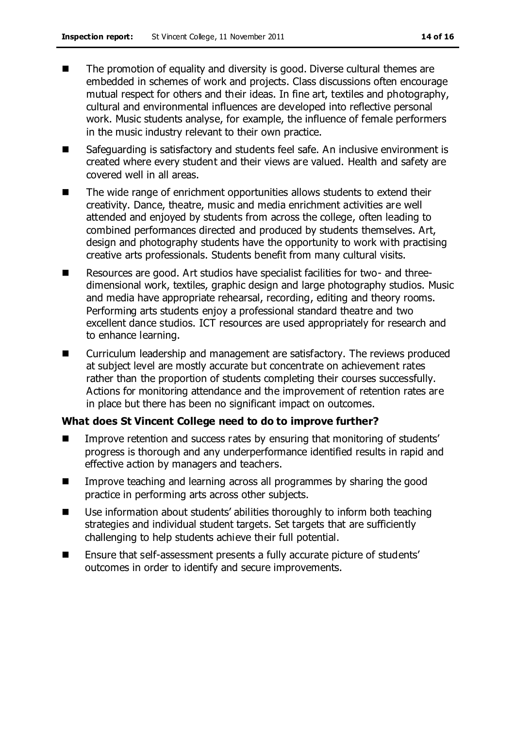- The promotion of equality and diversity is good. Diverse cultural themes are embedded in schemes of work and projects. Class discussions often encourage mutual respect for others and their ideas. In fine art, textiles and photography, cultural and environmental influences are developed into reflective personal work. Music students analyse, for example, the influence of female performers in the music industry relevant to their own practice.
- Safeguarding is satisfactory and students feel safe. An inclusive environment is created where every student and their views are valued. Health and safety are covered well in all areas.
- The wide range of enrichment opportunities allows students to extend their creativity. Dance, theatre, music and media enrichment activities are well attended and enjoyed by students from across the college, often leading to combined performances directed and produced by students themselves. Art, design and photography students have the opportunity to work with practising creative arts professionals. Students benefit from many cultural visits.
- Resources are good. Art studios have specialist facilities for two- and threedimensional work, textiles, graphic design and large photography studios. Music and media have appropriate rehearsal, recording, editing and theory rooms. Performing arts students enjoy a professional standard theatre and two excellent dance studios. ICT resources are used appropriately for research and to enhance learning.
- Curriculum leadership and management are satisfactory. The reviews produced at subject level are mostly accurate but concentrate on achievement rates rather than the proportion of students completing their courses successfully. Actions for monitoring attendance and the improvement of retention rates are in place but there has been no significant impact on outcomes.

#### **What does St Vincent College need to do to improve further?**

- Improve retention and success rates by ensuring that monitoring of students' progress is thorough and any underperformance identified results in rapid and effective action by managers and teachers.
- **IMPROVE THE IMPROVE THE AND IMPLE And IMPLE A** Improve teaching and learning across all programmes by sharing the good practice in performing arts across other subjects.
- Use information about students' abilities thoroughly to inform both teaching strategies and individual student targets. Set targets that are sufficiently challenging to help students achieve their full potential.
- Ensure that self-assessment presents a fully accurate picture of students' outcomes in order to identify and secure improvements.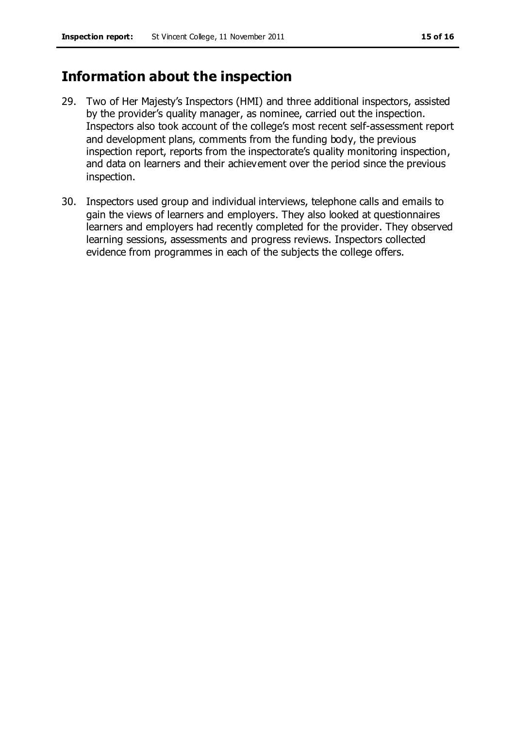# **Information about the inspection**

- 29. Two of Her Majesty's Inspectors (HMI) and three additional inspectors, assisted by the provider's quality manager, as nominee, carried out the inspection. Inspectors also took account of the college's most recent self-assessment report and development plans, comments from the funding body, the previous inspection report, reports from the inspectorate's quality monitoring inspection, and data on learners and their achievement over the period since the previous inspection.
- 30. Inspectors used group and individual interviews, telephone calls and emails to gain the views of learners and employers. They also looked at questionnaires learners and employers had recently completed for the provider. They observed learning sessions, assessments and progress reviews. Inspectors collected evidence from programmes in each of the subjects the college offers.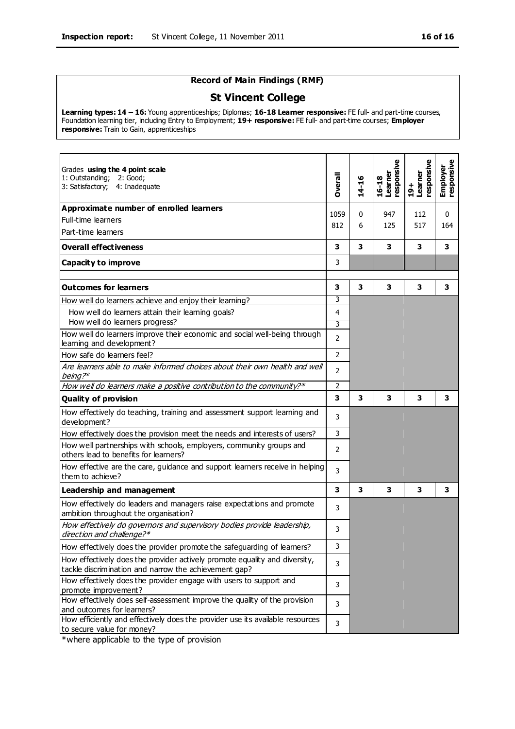## **Record of Main Findings (RMF)**

#### **St Vincent College**

**Learning types: 14 – 16:** Young apprenticeships; Diplomas; **16-18 Learner responsive:** FE full- and part-time courses, Foundation learning tier, including Entry to Employment; **19+ responsive:** FE full- and part-time courses; **Employer responsive:** Train to Gain, apprenticeships

| Grades using the 4 point scale<br>1: Outstanding;<br>2: Good;<br>3: Satisfactory; 4: Inadequate                                     | <b>Dverall</b> | $14 - 16$    | esponsive<br>Learner<br>$16 - 18$ | esponsive<br>Learner<br>$19 +$ | Employer<br>responsive |
|-------------------------------------------------------------------------------------------------------------------------------------|----------------|--------------|-----------------------------------|--------------------------------|------------------------|
| Approximate number of enrolled learners                                                                                             |                |              |                                   |                                |                        |
| Full-time learners                                                                                                                  | 1059           | $\mathbf{0}$ | 947                               | 112                            | 0                      |
| Part-time learners                                                                                                                  | 812            | 6            | 125                               | 517                            | 164                    |
| <b>Overall effectiveness</b>                                                                                                        | 3              | 3            | 3                                 | 3                              | 3                      |
| <b>Capacity to improve</b>                                                                                                          | 3              |              |                                   |                                |                        |
| <b>Outcomes for learners</b>                                                                                                        | 3              | 3            | 3                                 | 3                              | 3                      |
| How well do learners achieve and enjoy their learning?                                                                              | 3              |              |                                   |                                |                        |
| How well do learners attain their learning goals?                                                                                   | 4              |              |                                   |                                |                        |
| How well do learners progress?                                                                                                      | 3              |              |                                   |                                |                        |
| How well do learners improve their economic and social well-being through<br>learning and development?                              | $\overline{2}$ |              |                                   |                                |                        |
| How safe do learners feel?                                                                                                          | $\overline{2}$ |              |                                   |                                |                        |
| Are learners able to make informed choices about their own health and well<br>being?*                                               | $\overline{2}$ |              |                                   |                                |                        |
| How well do learners make a positive contribution to the community?*                                                                | $\overline{2}$ |              |                                   |                                |                        |
| <b>Quality of provision</b>                                                                                                         | 3              | 3            | 3                                 | 3                              | з                      |
| How effectively do teaching, training and assessment support learning and<br>development?                                           | 3              |              |                                   |                                |                        |
| How effectively does the provision meet the needs and interests of users?                                                           | 3              |              |                                   |                                |                        |
| How well partnerships with schools, employers, community groups and<br>others lead to benefits for learners?                        | $\overline{2}$ |              |                                   |                                |                        |
| How effective are the care, guidance and support learners receive in helping<br>them to achieve?                                    | 3              |              |                                   |                                |                        |
| <b>Leadership and management</b>                                                                                                    | 3              | 3            | 3                                 | 3                              | 3                      |
| How effectively do leaders and managers raise expectations and promote<br>ambition throughout the organisation?                     | 3              |              |                                   |                                |                        |
| How effectively do governors and supervisory bodies provide leadership,<br>direction and challenge?*                                | 3              |              |                                   |                                |                        |
| How effectively does the provider promote the safeguarding of learners?                                                             | 3              |              |                                   |                                |                        |
| How effectively does the provider actively promote equality and diversity,<br>tackle discrimination and narrow the achievement gap? | 3              |              |                                   |                                |                        |
| How effectively does the provider engage with users to support and                                                                  | 3              |              |                                   |                                |                        |
| promote improvement?                                                                                                                |                |              |                                   |                                |                        |
| How effectively does self-assessment improve the quality of the provision<br>and outcomes for learners?                             | 3              |              |                                   |                                |                        |
| How efficiently and effectively does the provider use its available resources<br>to secure value for money?                         | 3              |              |                                   |                                |                        |

\*where applicable to the type of provision